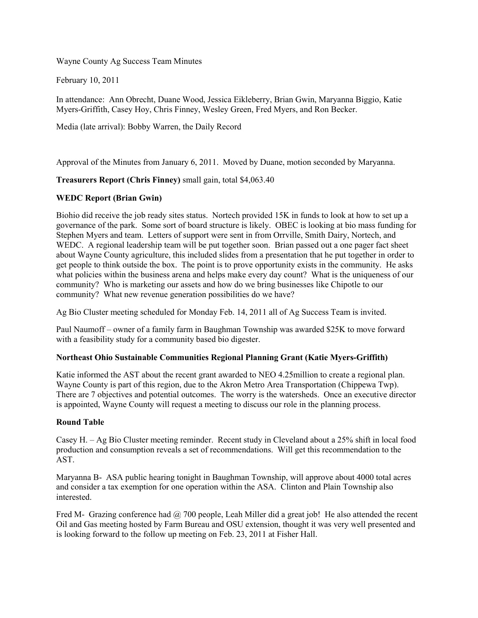Wayne County Ag Success Team Minutes

February 10, 2011

In attendance: Ann Obrecht, Duane Wood, Jessica Eikleberry, Brian Gwin, Maryanna Biggio, Katie Myers-Griffith, Casey Hoy, Chris Finney, Wesley Green, Fred Myers, and Ron Becker.

Media (late arrival): Bobby Warren, the Daily Record

Approval of the Minutes from January 6, 2011. Moved by Duane, motion seconded by Maryanna.

## **Treasurers Report (Chris Finney)** small gain, total \$4,063.40

## **WEDC Report (Brian Gwin)**

Biohio did receive the job ready sites status. Nortech provided 15K in funds to look at how to set up a governance of the park. Some sort of board structure is likely. OBEC is looking at bio mass funding for Stephen Myers and team. Letters of support were sent in from Orrville, Smith Dairy, Nortech, and WEDC. A regional leadership team will be put together soon. Brian passed out a one pager fact sheet about Wayne County agriculture, this included slides from a presentation that he put together in order to get people to think outside the box. The point is to prove opportunity exists in the community. He asks what policies within the business arena and helps make every day count? What is the uniqueness of our community? Who is marketing our assets and how do we bring businesses like Chipotle to our community? What new revenue generation possibilities do we have?

Ag Bio Cluster meeting scheduled for Monday Feb. 14, 2011 all of Ag Success Team is invited.

Paul Naumoff – owner of a family farm in Baughman Township was awarded \$25K to move forward with a feasibility study for a community based bio digester.

## **Northeast Ohio Sustainable Communities Regional Planning Grant (Katie Myers-Griffith)**

Katie informed the AST about the recent grant awarded to NEO 4.25million to create a regional plan. Wayne County is part of this region, due to the Akron Metro Area Transportation (Chippewa Twp). There are 7 objectives and potential outcomes. The worry is the watersheds. Once an executive director is appointed, Wayne County will request a meeting to discuss our role in the planning process.

## **Round Table**

Casey H. – Ag Bio Cluster meeting reminder. Recent study in Cleveland about a 25% shift in local food production and consumption reveals a set of recommendations. Will get this recommendation to the AST.

Maryanna B- ASA public hearing tonight in Baughman Township, will approve about 4000 total acres and consider a tax exemption for one operation within the ASA. Clinton and Plain Township also **interested** 

Fred M- Grazing conference had @ 700 people, Leah Miller did a great job! He also attended the recent Oil and Gas meeting hosted by Farm Bureau and OSU extension, thought it was very well presented and is looking forward to the follow up meeting on Feb. 23, 2011 at Fisher Hall.